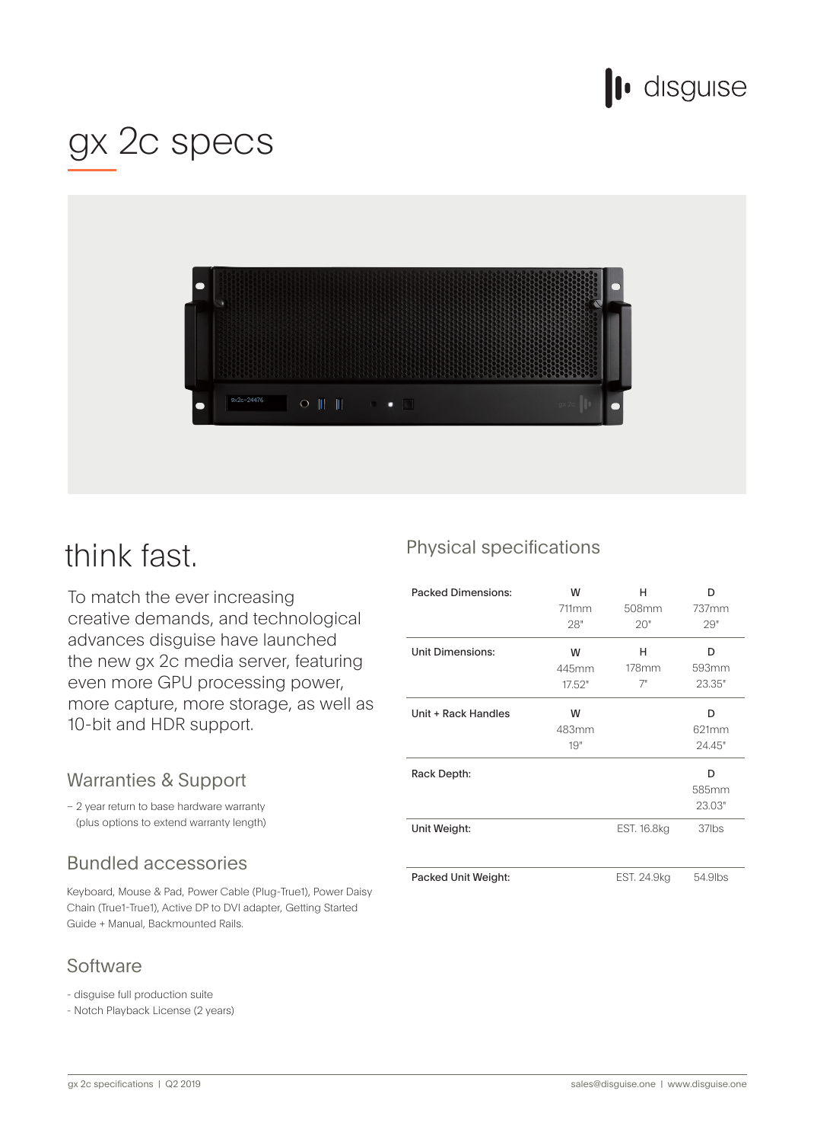## lo disguise

## gx 2c specs



### think fast.

To match the ever increasing creative demands, and technological advances disguise have launched the new gx 2c media server, featuring even more GPU processing power, more capture, more storage, as well as 10-bit and HDR support.

#### Warranties & Support

- 2 year return to base hardware warranty (plus options to extend warranty length)

### **Bundled accessories**

Keyboard, Mouse & Pad, Power Cable (Plug-True1), Power Daisy Chain (True1-True1), Active DP to DVI adapter, Getting Started Guide + Manual, Backmounted Rails.

#### **Software**

- disguise full production suite

- Notch Playback License (2 years)

#### Physical specifications

| <b>Packed Dimensions:</b> | w<br>711mm<br>28"    | н<br>508mm<br>20"   | D<br>737mm<br>29"    |
|---------------------------|----------------------|---------------------|----------------------|
| <b>Unit Dimensions:</b>   | W<br>445mm<br>17.52" | н<br>$178$ mm<br>7" | D<br>593mm<br>23.35" |
| Unit + Rack Handles       | W<br>483mm<br>19"    |                     | D<br>621mm<br>24.45" |
| Rack Depth:               |                      |                     | D<br>585mm<br>23.03" |
| Unit Weight:              |                      | EST. 16.8kg         | 37lbs                |
| Packed Unit Weight:       |                      | EST. 24.9kg         | 54.9lbs              |